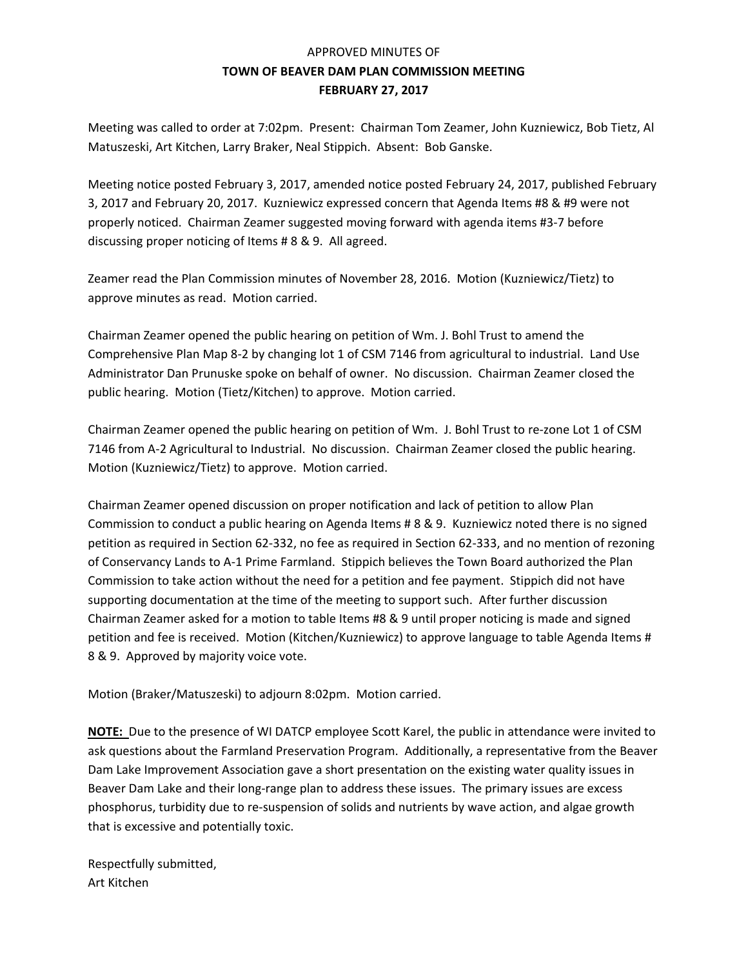#### APPROVED MINUTES OF **TOWN OF BEAVER DAM PLAN COMMISSION MEETING FEBRUARY 27, 2017**

Meeting was called to order at 7:02pm. Present: Chairman Tom Zeamer, John Kuzniewicz, Bob Tietz, Al Matuszeski, Art Kitchen, Larry Braker, Neal Stippich. Absent: Bob Ganske.

Meeting notice posted February 3, 2017, amended notice posted February 24, 2017, published February 3, 2017 and February 20, 2017. Kuzniewicz expressed concern that Agenda Items #8 & #9 were not properly noticed. Chairman Zeamer suggested moving forward with agenda items #3-7 before discussing proper noticing of Items # 8 & 9. All agreed.

Zeamer read the Plan Commission minutes of November 28, 2016. Motion (Kuzniewicz/Tietz) to approve minutes as read. Motion carried.

Chairman Zeamer opened the public hearing on petition of Wm. J. Bohl Trust to amend the Comprehensive Plan Map 8-2 by changing lot 1 of CSM 7146 from agricultural to industrial. Land Use Administrator Dan Prunuske spoke on behalf of owner. No discussion. Chairman Zeamer closed the public hearing. Motion (Tietz/Kitchen) to approve. Motion carried.

Chairman Zeamer opened the public hearing on petition of Wm. J. Bohl Trust to re-zone Lot 1 of CSM 7146 from A-2 Agricultural to Industrial. No discussion. Chairman Zeamer closed the public hearing. Motion (Kuzniewicz/Tietz) to approve. Motion carried.

Chairman Zeamer opened discussion on proper notification and lack of petition to allow Plan Commission to conduct a public hearing on Agenda Items # 8 & 9. Kuzniewicz noted there is no signed petition as required in Section 62-332, no fee as required in Section 62-333, and no mention of rezoning of Conservancy Lands to A-1 Prime Farmland. Stippich believes the Town Board authorized the Plan Commission to take action without the need for a petition and fee payment. Stippich did not have supporting documentation at the time of the meeting to support such. After further discussion Chairman Zeamer asked for a motion to table Items #8 & 9 until proper noticing is made and signed petition and fee is received. Motion (Kitchen/Kuzniewicz) to approve language to table Agenda Items # 8 & 9. Approved by majority voice vote.

Motion (Braker/Matuszeski) to adjourn 8:02pm. Motion carried.

**NOTE:** Due to the presence of WI DATCP employee Scott Karel, the public in attendance were invited to ask questions about the Farmland Preservation Program. Additionally, a representative from the Beaver Dam Lake Improvement Association gave a short presentation on the existing water quality issues in Beaver Dam Lake and their long-range plan to address these issues. The primary issues are excess phosphorus, turbidity due to re-suspension of solids and nutrients by wave action, and algae growth that is excessive and potentially toxic.

Respectfully submitted, Art Kitchen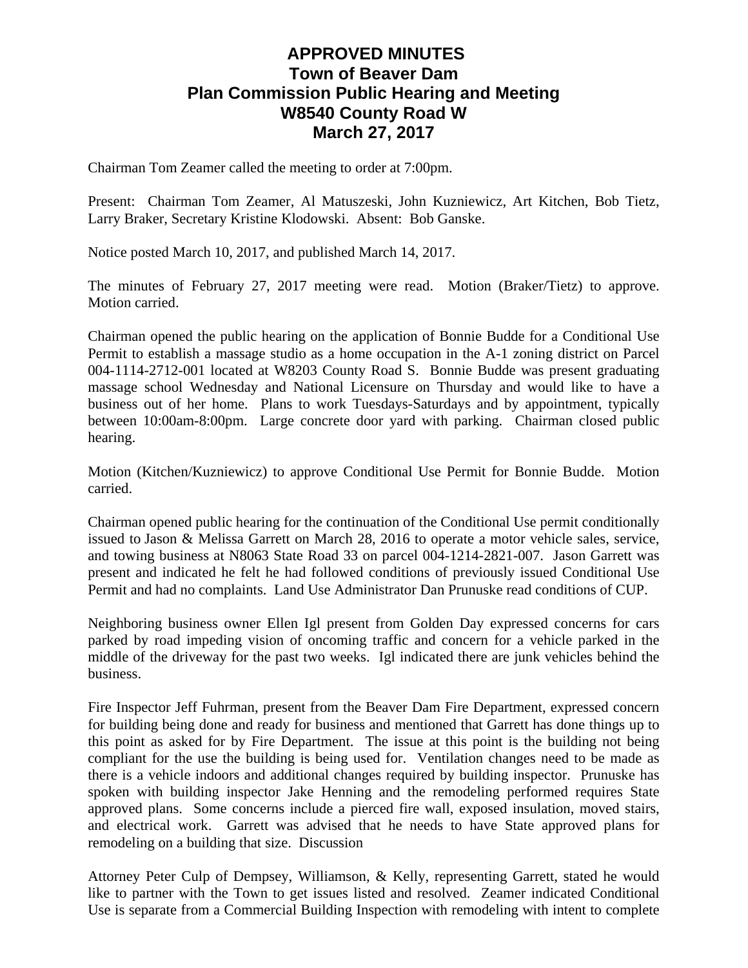# **APPROVED MINUTES Town of Beaver Dam Plan Commission Public Hearing and Meeting W8540 County Road W March 27, 2017**

Chairman Tom Zeamer called the meeting to order at 7:00pm.

Present: Chairman Tom Zeamer, Al Matuszeski, John Kuzniewicz, Art Kitchen, Bob Tietz, Larry Braker, Secretary Kristine Klodowski. Absent: Bob Ganske.

Notice posted March 10, 2017, and published March 14, 2017.

The minutes of February 27, 2017 meeting were read. Motion (Braker/Tietz) to approve. Motion carried.

Chairman opened the public hearing on the application of Bonnie Budde for a Conditional Use Permit to establish a massage studio as a home occupation in the A-1 zoning district on Parcel 004-1114-2712-001 located at W8203 County Road S. Bonnie Budde was present graduating massage school Wednesday and National Licensure on Thursday and would like to have a business out of her home. Plans to work Tuesdays-Saturdays and by appointment, typically between 10:00am-8:00pm. Large concrete door yard with parking. Chairman closed public hearing.

Motion (Kitchen/Kuzniewicz) to approve Conditional Use Permit for Bonnie Budde. Motion carried.

Chairman opened public hearing for the continuation of the Conditional Use permit conditionally issued to Jason & Melissa Garrett on March 28, 2016 to operate a motor vehicle sales, service, and towing business at N8063 State Road 33 on parcel 004-1214-2821-007. Jason Garrett was present and indicated he felt he had followed conditions of previously issued Conditional Use Permit and had no complaints. Land Use Administrator Dan Prunuske read conditions of CUP.

Neighboring business owner Ellen Igl present from Golden Day expressed concerns for cars parked by road impeding vision of oncoming traffic and concern for a vehicle parked in the middle of the driveway for the past two weeks. Igl indicated there are junk vehicles behind the business.

Fire Inspector Jeff Fuhrman, present from the Beaver Dam Fire Department, expressed concern for building being done and ready for business and mentioned that Garrett has done things up to this point as asked for by Fire Department. The issue at this point is the building not being compliant for the use the building is being used for. Ventilation changes need to be made as there is a vehicle indoors and additional changes required by building inspector. Prunuske has spoken with building inspector Jake Henning and the remodeling performed requires State approved plans. Some concerns include a pierced fire wall, exposed insulation, moved stairs, and electrical work. Garrett was advised that he needs to have State approved plans for remodeling on a building that size. Discussion

Attorney Peter Culp of Dempsey, Williamson, & Kelly, representing Garrett, stated he would like to partner with the Town to get issues listed and resolved. Zeamer indicated Conditional Use is separate from a Commercial Building Inspection with remodeling with intent to complete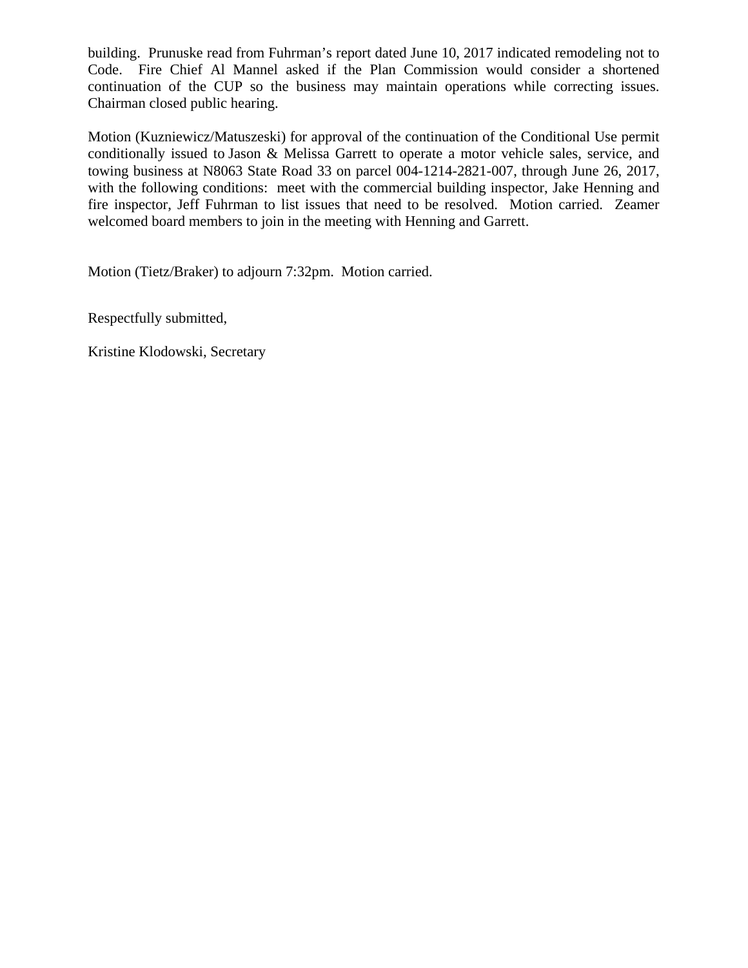building. Prunuske read from Fuhrman's report dated June 10, 2017 indicated remodeling not to Code. Fire Chief Al Mannel asked if the Plan Commission would consider a shortened continuation of the CUP so the business may maintain operations while correcting issues. Chairman closed public hearing.

Motion (Kuzniewicz/Matuszeski) for approval of the continuation of the Conditional Use permit conditionally issued to Jason & Melissa Garrett to operate a motor vehicle sales, service, and towing business at N8063 State Road 33 on parcel 004-1214-2821-007, through June 26, 2017, with the following conditions: meet with the commercial building inspector, Jake Henning and fire inspector, Jeff Fuhrman to list issues that need to be resolved. Motion carried. Zeamer welcomed board members to join in the meeting with Henning and Garrett.

Motion (Tietz/Braker) to adjourn 7:32pm. Motion carried.

Respectfully submitted,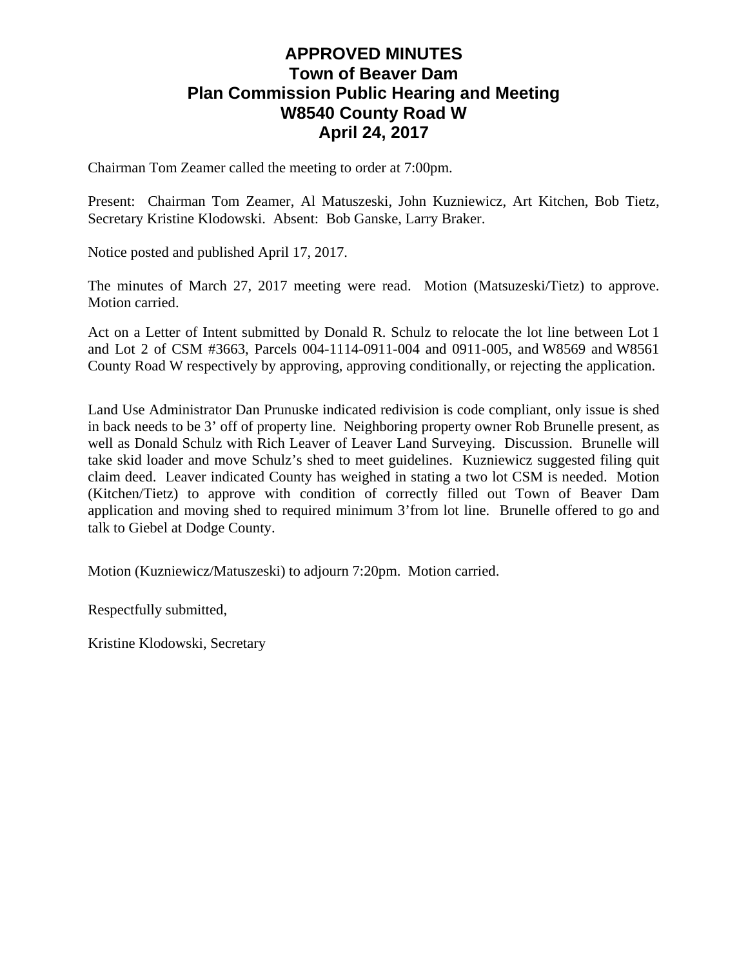# **APPROVED MINUTES Town of Beaver Dam Plan Commission Public Hearing and Meeting W8540 County Road W April 24, 2017**

Chairman Tom Zeamer called the meeting to order at 7:00pm.

Present: Chairman Tom Zeamer, Al Matuszeski, John Kuzniewicz, Art Kitchen, Bob Tietz, Secretary Kristine Klodowski. Absent: Bob Ganske, Larry Braker.

Notice posted and published April 17, 2017.

The minutes of March 27, 2017 meeting were read. Motion (Matsuzeski/Tietz) to approve. Motion carried.

Act on a Letter of Intent submitted by Donald R. Schulz to relocate the lot line between Lot 1 and Lot 2 of CSM #3663, Parcels 004-1114-0911-004 and 0911-005, and W8569 and W8561 County Road W respectively by approving, approving conditionally, or rejecting the application.

Land Use Administrator Dan Prunuske indicated redivision is code compliant, only issue is shed in back needs to be 3' off of property line. Neighboring property owner Rob Brunelle present, as well as Donald Schulz with Rich Leaver of Leaver Land Surveying. Discussion. Brunelle will take skid loader and move Schulz's shed to meet guidelines. Kuzniewicz suggested filing quit claim deed. Leaver indicated County has weighed in stating a two lot CSM is needed. Motion (Kitchen/Tietz) to approve with condition of correctly filled out Town of Beaver Dam application and moving shed to required minimum 3'from lot line. Brunelle offered to go and talk to Giebel at Dodge County.

Motion (Kuzniewicz/Matuszeski) to adjourn 7:20pm. Motion carried.

Respectfully submitted,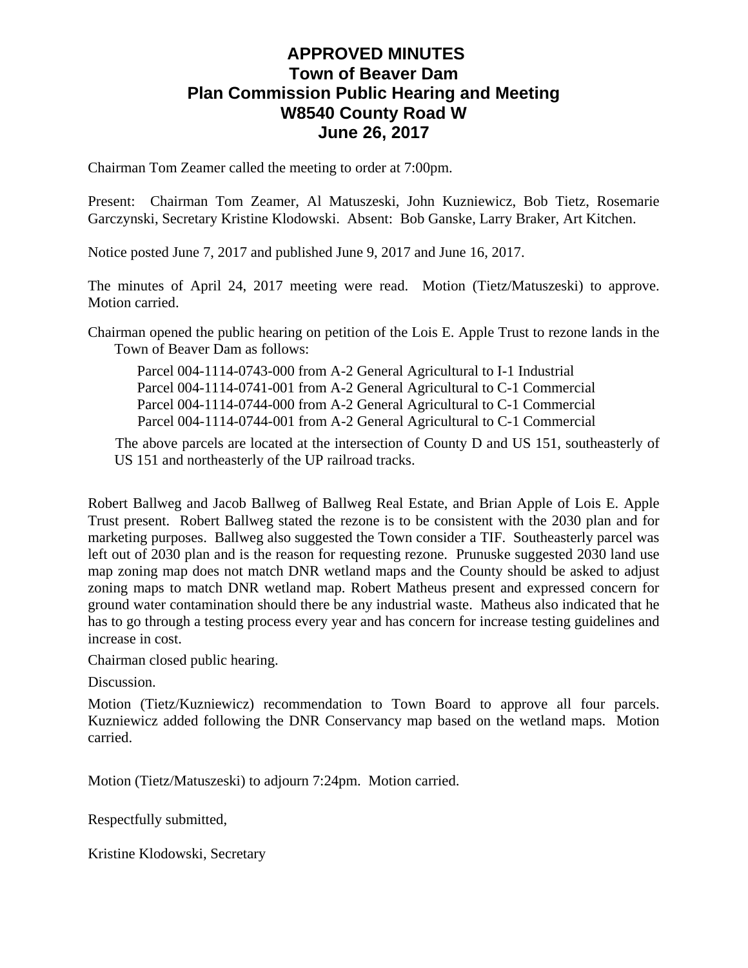# **APPROVED MINUTES Town of Beaver Dam Plan Commission Public Hearing and Meeting W8540 County Road W June 26, 2017**

Chairman Tom Zeamer called the meeting to order at 7:00pm.

Present: Chairman Tom Zeamer, Al Matuszeski, John Kuzniewicz, Bob Tietz, Rosemarie Garczynski, Secretary Kristine Klodowski. Absent: Bob Ganske, Larry Braker, Art Kitchen.

Notice posted June 7, 2017 and published June 9, 2017 and June 16, 2017.

The minutes of April 24, 2017 meeting were read. Motion (Tietz/Matuszeski) to approve. Motion carried.

Chairman opened the public hearing on petition of the Lois E. Apple Trust to rezone lands in the Town of Beaver Dam as follows:

Parcel 004-1114-0743-000 from A-2 General Agricultural to I-1 Industrial Parcel 004-1114-0741-001 from A-2 General Agricultural to C-1 Commercial Parcel 004-1114-0744-000 from A-2 General Agricultural to C-1 Commercial Parcel 004-1114-0744-001 from A-2 General Agricultural to C-1 Commercial

The above parcels are located at the intersection of County D and US 151, southeasterly of US 151 and northeasterly of the UP railroad tracks.

Robert Ballweg and Jacob Ballweg of Ballweg Real Estate, and Brian Apple of Lois E. Apple Trust present. Robert Ballweg stated the rezone is to be consistent with the 2030 plan and for marketing purposes. Ballweg also suggested the Town consider a TIF. Southeasterly parcel was left out of 2030 plan and is the reason for requesting rezone. Prunuske suggested 2030 land use map zoning map does not match DNR wetland maps and the County should be asked to adjust zoning maps to match DNR wetland map. Robert Matheus present and expressed concern for ground water contamination should there be any industrial waste. Matheus also indicated that he has to go through a testing process every year and has concern for increase testing guidelines and increase in cost.

Chairman closed public hearing.

Discussion.

Motion (Tietz/Kuzniewicz) recommendation to Town Board to approve all four parcels. Kuzniewicz added following the DNR Conservancy map based on the wetland maps. Motion carried.

Motion (Tietz/Matuszeski) to adjourn 7:24pm. Motion carried.

Respectfully submitted,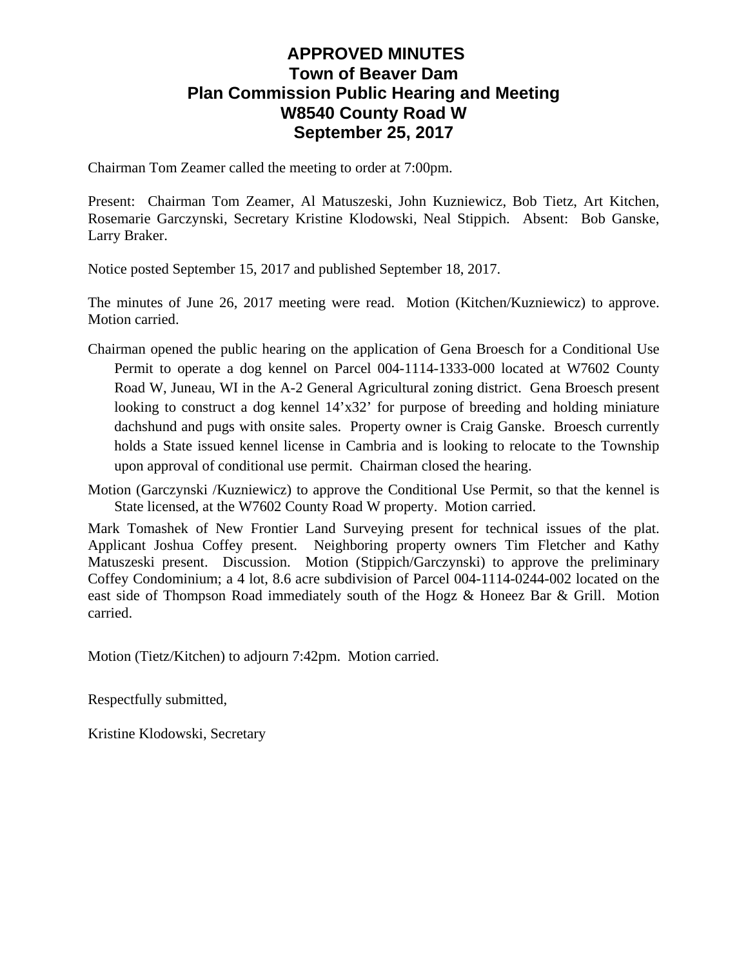# **APPROVED MINUTES Town of Beaver Dam Plan Commission Public Hearing and Meeting W8540 County Road W September 25, 2017**

Chairman Tom Zeamer called the meeting to order at 7:00pm.

Present: Chairman Tom Zeamer, Al Matuszeski, John Kuzniewicz, Bob Tietz, Art Kitchen, Rosemarie Garczynski, Secretary Kristine Klodowski, Neal Stippich. Absent: Bob Ganske, Larry Braker.

Notice posted September 15, 2017 and published September 18, 2017.

The minutes of June 26, 2017 meeting were read. Motion (Kitchen/Kuzniewicz) to approve. Motion carried.

- Chairman opened the public hearing on the application of Gena Broesch for a Conditional Use Permit to operate a dog kennel on Parcel 004-1114-1333-000 located at W7602 County Road W, Juneau, WI in the A-2 General Agricultural zoning district. Gena Broesch present looking to construct a dog kennel  $14'x32'$  for purpose of breeding and holding miniature dachshund and pugs with onsite sales. Property owner is Craig Ganske. Broesch currently holds a State issued kennel license in Cambria and is looking to relocate to the Township upon approval of conditional use permit. Chairman closed the hearing.
- Motion (Garczynski /Kuzniewicz) to approve the Conditional Use Permit, so that the kennel is State licensed, at the W7602 County Road W property. Motion carried.

Mark Tomashek of New Frontier Land Surveying present for technical issues of the plat. Applicant Joshua Coffey present. Neighboring property owners Tim Fletcher and Kathy Matuszeski present. Discussion. Motion (Stippich/Garczynski) to approve the preliminary Coffey Condominium; a 4 lot, 8.6 acre subdivision of Parcel 004-1114-0244-002 located on the east side of Thompson Road immediately south of the Hogz & Honeez Bar & Grill. Motion carried.

Motion (Tietz/Kitchen) to adjourn 7:42pm. Motion carried.

Respectfully submitted,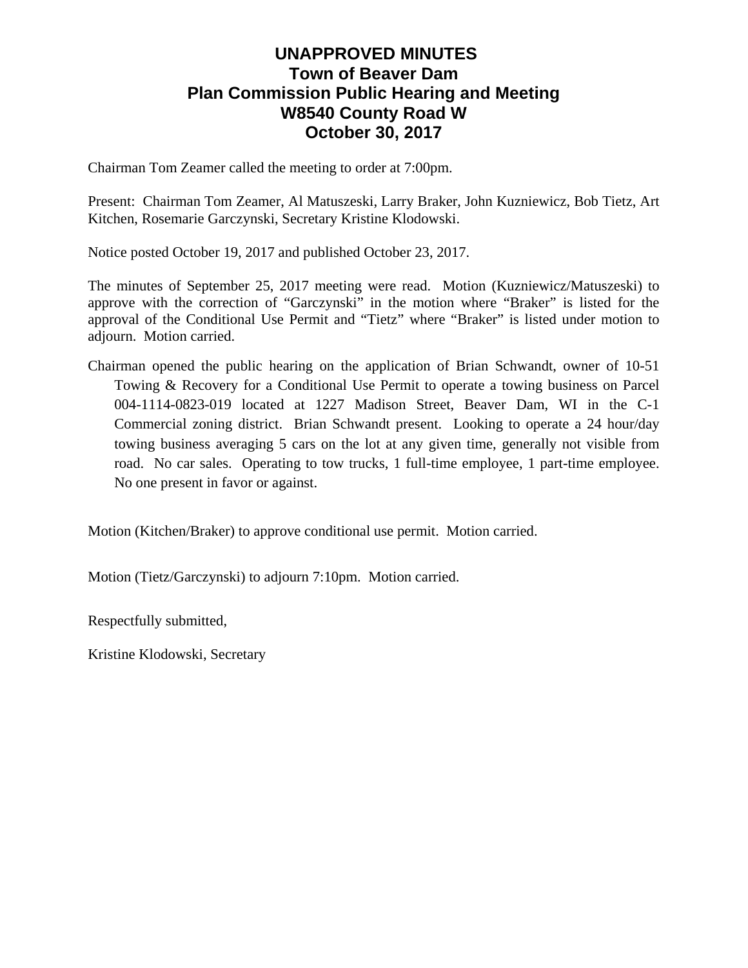# **UNAPPROVED MINUTES Town of Beaver Dam Plan Commission Public Hearing and Meeting W8540 County Road W October 30, 2017**

Chairman Tom Zeamer called the meeting to order at 7:00pm.

Present: Chairman Tom Zeamer, Al Matuszeski, Larry Braker, John Kuzniewicz, Bob Tietz, Art Kitchen, Rosemarie Garczynski, Secretary Kristine Klodowski.

Notice posted October 19, 2017 and published October 23, 2017.

The minutes of September 25, 2017 meeting were read. Motion (Kuzniewicz/Matuszeski) to approve with the correction of "Garczynski" in the motion where "Braker" is listed for the approval of the Conditional Use Permit and "Tietz" where "Braker" is listed under motion to adjourn. Motion carried.

Chairman opened the public hearing on the application of Brian Schwandt, owner of 10-51 Towing & Recovery for a Conditional Use Permit to operate a towing business on Parcel 004-1114-0823-019 located at 1227 Madison Street, Beaver Dam, WI in the C-1 Commercial zoning district. Brian Schwandt present. Looking to operate a 24 hour/day towing business averaging 5 cars on the lot at any given time, generally not visible from road. No car sales. Operating to tow trucks, 1 full-time employee, 1 part-time employee. No one present in favor or against.

Motion (Kitchen/Braker) to approve conditional use permit. Motion carried.

Motion (Tietz/Garczynski) to adjourn 7:10pm. Motion carried.

Respectfully submitted,